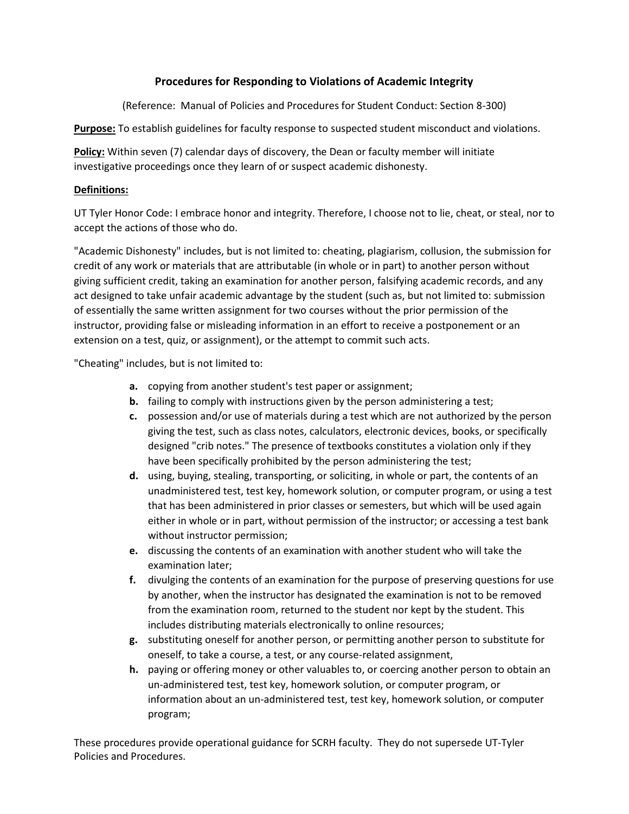# **Procedures for Responding to Violations of Academic Integrity**

(Reference: Manual of Policies and Procedures for Student Conduct: Section 8-300)

**Purpose:** To establish guidelines for faculty response to suspected student misconduct and violations.

**Policy:** Within seven (7) calendar days of discovery, the Dean or faculty member will initiate investigative proceedings once they learn of or suspect academic dishonesty.

### **Definitions:**

UT Tyler Honor Code: I embrace honor and integrity. Therefore, I choose not to lie, cheat, or steal, nor to accept the actions of those who do.

"Academic Dishonesty" includes, but is not limited to: cheating, plagiarism, collusion, the submission for credit of any work or materials that are attributable (in whole or in part) to another person without giving sufficient credit, taking an examination for another person, falsifying academic records, and any act designed to take unfair academic advantage by the student (such as, but not limited to: submission of essentially the same written assignment for two courses without the prior permission of the instructor, providing false or misleading information in an effort to receive a postponement or an extension on a test, quiz, or assignment), or the attempt to commit such acts.

"Cheating" includes, but is not limited to:

- **a.** copying from another student's test paper or assignment;
- **b.** failing to comply with instructions given by the person administering a test;
- **c.** possession and/or use of materials during a test which are not authorized by the person giving the test, such as class notes, calculators, electronic devices, books, or specifically designed "crib notes." The presence of textbooks constitutes a violation only if they have been specifically prohibited by the person administering the test;
- **d.** using, buying, stealing, transporting, or soliciting, in whole or part, the contents of an unadministered test, test key, homework solution, or computer program, or using a test that has been administered in prior classes or semesters, but which will be used again either in whole or in part, without permission of the instructor; or accessing a test bank without instructor permission;
- **e.** discussing the contents of an examination with another student who will take the examination later;
- **f.** divulging the contents of an examination for the purpose of preserving questions for use by another, when the instructor has designated the examination is not to be removed from the examination room, returned to the student nor kept by the student. This includes distributing materials electronically to online resources;
- **g.** substituting oneself for another person, or permitting another person to substitute for oneself, to take a course, a test, or any course-related assignment,
- **h.** paying or offering money or other valuables to, or coercing another person to obtain an un-administered test, test key, homework solution, or computer program, or information about an un-administered test, test key, homework solution, or computer program;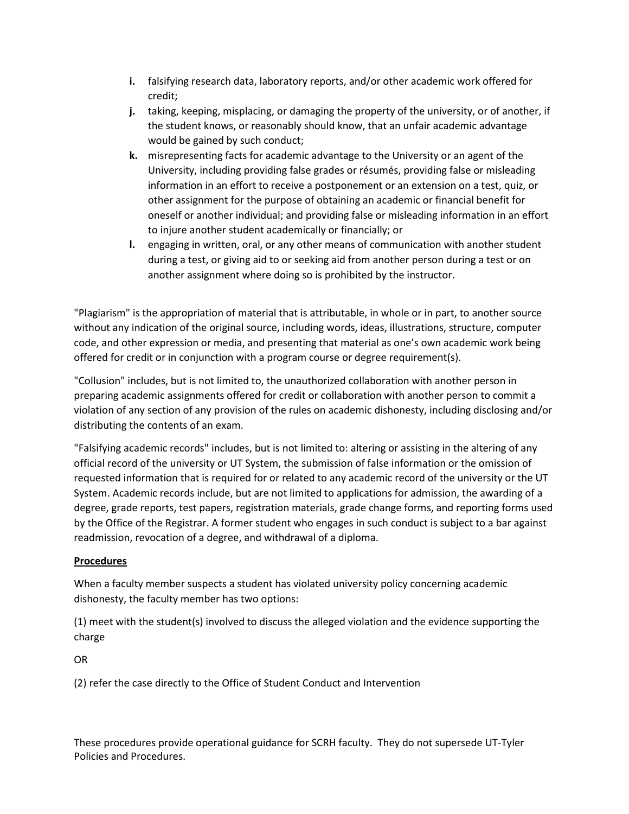- **i.** falsifying research data, laboratory reports, and/or other academic work offered for credit;
- **j.** taking, keeping, misplacing, or damaging the property of the university, or of another, if the student knows, or reasonably should know, that an unfair academic advantage would be gained by such conduct;
- **k.** misrepresenting facts for academic advantage to the University or an agent of the University, including providing false grades or résumés, providing false or misleading information in an effort to receive a postponement or an extension on a test, quiz, or other assignment for the purpose of obtaining an academic or financial benefit for oneself or another individual; and providing false or misleading information in an effort to injure another student academically or financially; or
- **l.** engaging in written, oral, or any other means of communication with another student during a test, or giving aid to or seeking aid from another person during a test or on another assignment where doing so is prohibited by the instructor.

"Plagiarism" is the appropriation of material that is attributable, in whole or in part, to another source without any indication of the original source, including words, ideas, illustrations, structure, computer code, and other expression or media, and presenting that material as one's own academic work being offered for credit or in conjunction with a program course or degree requirement(s).

"Collusion" includes, but is not limited to, the unauthorized collaboration with another person in preparing academic assignments offered for credit or collaboration with another person to commit a violation of any section of any provision of the rules on academic dishonesty, including disclosing and/or distributing the contents of an exam.

"Falsifying academic records" includes, but is not limited to: altering or assisting in the altering of any official record of the university or UT System, the submission of false information or the omission of requested information that is required for or related to any academic record of the university or the UT System. Academic records include, but are not limited to applications for admission, the awarding of a degree, grade reports, test papers, registration materials, grade change forms, and reporting forms used by the Office of the Registrar. A former student who engages in such conduct is subject to a bar against readmission, revocation of a degree, and withdrawal of a diploma.

### **Procedures**

When a faculty member suspects a student has violated university policy concerning academic dishonesty, the faculty member has two options:

(1) meet with the student(s) involved to discuss the alleged violation and the evidence supporting the charge

OR

(2) refer the case directly to the Office of Student Conduct and Intervention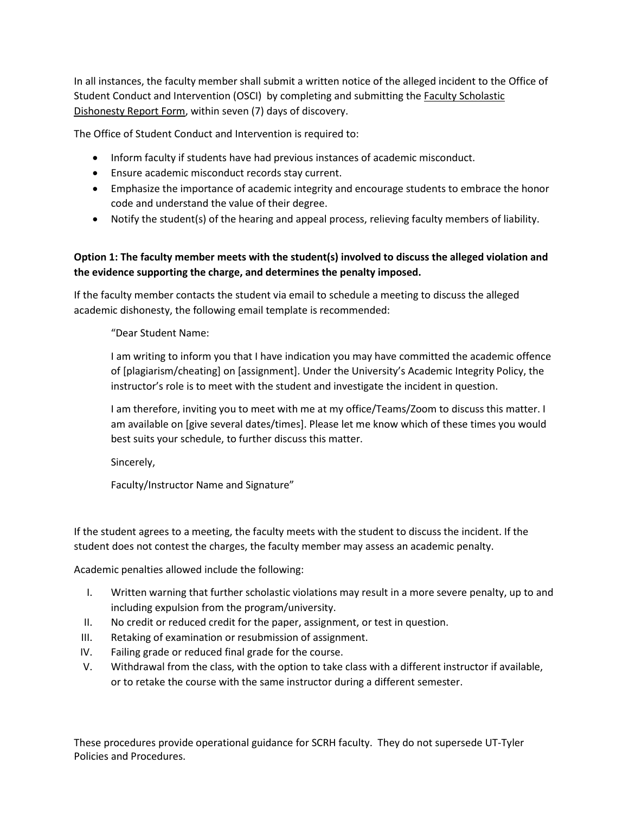In all instances, the faculty member shall submit a written notice of the alleged incident to the Office of Student Conduct and Intervention (OSCI) by completing and submitting the [Faculty Scholastic](https://cm.maxient.com/reportingform.php?UnivofTexasTyler&layout_id=4)  [Dishonesty Report Form,](https://cm.maxient.com/reportingform.php?UnivofTexasTyler&layout_id=4) within seven (7) days of discovery.

The Office of Student Conduct and Intervention is required to:

- Inform faculty if students have had previous instances of academic misconduct.
- Ensure academic misconduct records stay current.
- Emphasize the importance of academic integrity and encourage students to embrace the honor code and understand the value of their degree.
- Notify the student(s) of the hearing and appeal process, relieving faculty members of liability.

# **Option 1: The faculty member meets with the student(s) involved to discuss the alleged violation and the evidence supporting the charge, and determines the penalty imposed.**

If the faculty member contacts the student via email to schedule a meeting to discuss the alleged academic dishonesty, the following email template is recommended:

"Dear Student Name:

I am writing to inform you that I have indication you may have committed the academic offence of [plagiarism/cheating] on [assignment]. Under the University's Academic Integrity Policy, the instructor's role is to meet with the student and investigate the incident in question.

I am therefore, inviting you to meet with me at my office/Teams/Zoom to discuss this matter. I am available on [give several dates/times]. Please let me know which of these times you would best suits your schedule, to further discuss this matter.

Sincerely,

Faculty/Instructor Name and Signature"

If the student agrees to a meeting, the faculty meets with the student to discuss the incident. If the student does not contest the charges, the faculty member may assess an academic penalty.

Academic penalties allowed include the following:

- I. Written warning that further scholastic violations may result in a more severe penalty, up to and including expulsion from the program/university.
- II. No credit or reduced credit for the paper, assignment, or test in question.
- III. Retaking of examination or resubmission of assignment.
- IV. Failing grade or reduced final grade for the course.
- V. Withdrawal from the class, with the option to take class with a different instructor if available, or to retake the course with the same instructor during a different semester.